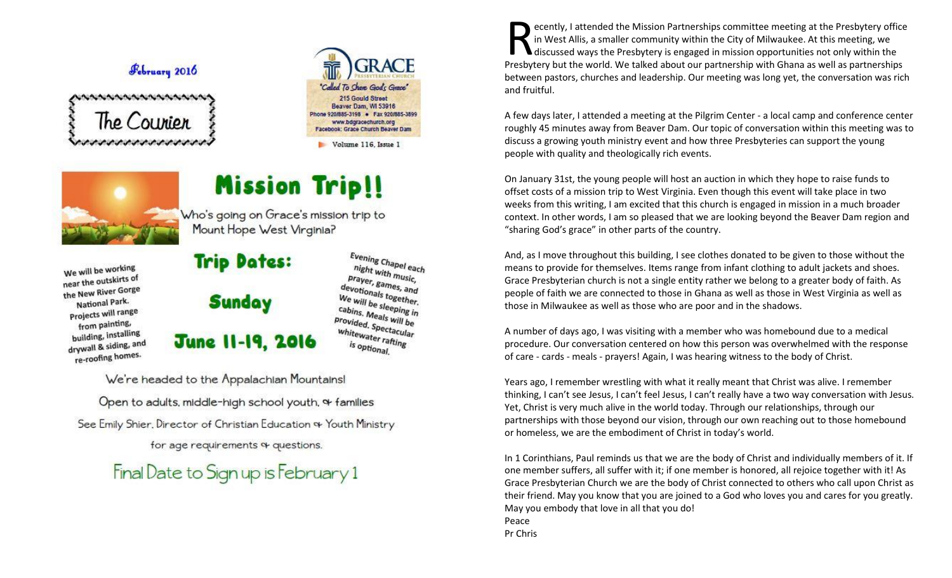## February 2016

 $the Counton$ 



Volume 116, Issue I

# **Mission Trip!!**



We will be working near the outskirts of

the New River Gorge

National Park.

Projects will range

from painting,

building, installing

drywall & siding, and

re-roofing homes.

Who's going on Grace's mission trip to Mount Hope West Virginia?

## **Trip Dates:**

# **Sunday**

## **June 11-19, 2016**

Evening Chapel each<br>night with m night with music, prayer, games, and<br>levotionals to and devotionals together. We will be sleeping in cabins, Meals will be<br>Provided, Spectarill be provided. Spectacular whitewater rafting is optional.

We're headed to the Appalachian Mountains!

Open to adults, middle-high school youth, of families

See Emily Shier, Director of Christian Education & Youth Ministry

for age requirements & questions.

# Final Date to Sign up is February 1

ecently, I attended the Mission Partnerships committee meeting at the Presbytery office in West Allis, a smaller community within the City of Milwaukee. At this meeting, we discussed ways the Presbytery is engaged in mission opportunities not only within the Presbytery office in West Allis, a smaller community within the City of Milwaukee. At this meeting, we discussed ways the Presbytery is engaged in mission opportunities not only within the Presbytery but the world. We talk between pastors, churches and leadership. Our meeting was long yet, the conversation was rich and fruitful.

A few days later, I attended a meeting at the Pilgrim Center - a local camp and conference center roughly 45 minutes away from Beaver Dam. Our topic of conversation within this meeting was to discuss a growing youth ministry event and how three Presbyteries can support the young people with quality and theologically rich events.

On January 31st, the young people will host an auction in which they hope to raise funds to offset costs of a mission trip to West Virginia. Even though this event will take place in two weeks from this writing, I am excited that this church is engaged in mission in a much broader context. In other words, I am so pleased that we are looking beyond the Beaver Dam region and "sharing God's grace" in other parts of the country.

And, as I move throughout this building, I see clothes donated to be given to those without the means to provide for themselves. Items range from infant clothing to adult jackets and shoes. Grace Presbyterian church is not a single entity rather we belong to a greater body of faith. As people of faith we are connected to those in Ghana as well as those in West Virginia as well as those in Milwaukee as well as those who are poor and in the shadows.

A number of days ago, I was visiting with a member who was homebound due to a medical procedure. Our conversation centered on how this person was overwhelmed with the response of care - cards - meals - prayers! Again, I was hearing witness to the body of Christ.

Years ago, I remember wrestling with what it really meant that Christ was alive. I remember thinking, I can't see Jesus, I can't feel Jesus, I can't really have a two way conversation with Jesus. Yet, Christ is very much alive in the world today. Through our relationships, through our partnerships with those beyond our vision, through our own reaching out to those homebound or homeless, we are the embodiment of Christ in today's world.

In 1 Corinthians, Paul reminds us that we are the body of Christ and individually members of it. If one member suffers, all suffer with it; if one member is honored, all rejoice together with it! As Grace Presbyterian Church we are the body of Christ connected to others who call upon Christ as their friend. May you know that you are joined to a God who loves you and cares for you greatly. May you embody that love in all that you do! Peace Pr Chris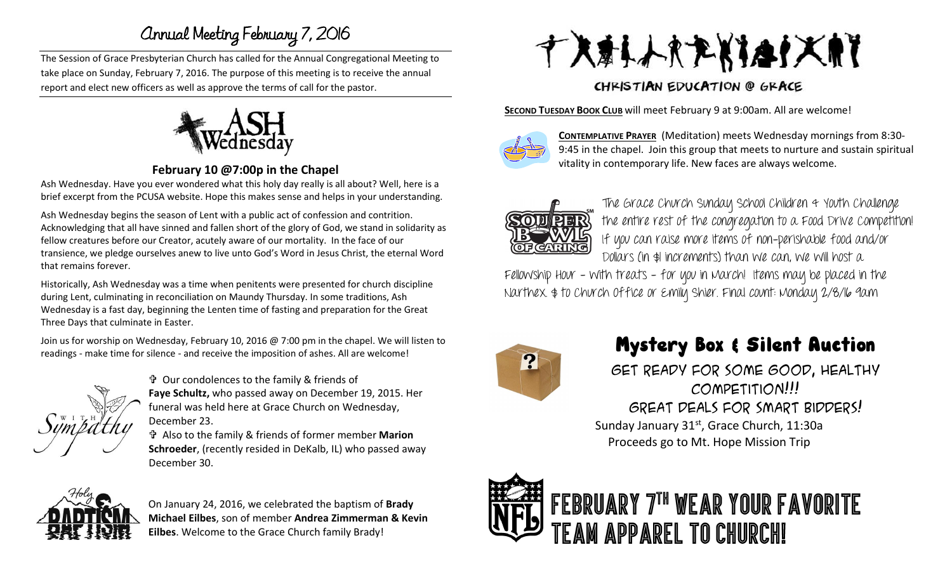## Annual Meeting February 7, 2016

The Session of Grace Presbyterian Church has called for the Annual Congregational Meeting to take place on Sunday, February 7, 2016. The purpose of this meeting is to receive the annual report and elect new officers as well as approve the terms of call for the pastor.



#### **February 10 @7:00p in the Chapel**

Ash Wednesday. Have you ever wondered what this holy day really is all about? Well, here is a brief excerpt from the PCUSA website. Hope this makes sense and helps in your understanding.

Ash Wednesday begins the season of Lent with a public act of confession and contrition. Acknowledging that all have sinned and fallen short of the glory of God, we stand in solidarity as fellow creatures before our Creator, acutely aware of our mortality. In the face of our transience, we pledge ourselves anew to live unto God's Word in Jesus Christ, the eternal Word that remains forever.

Historically, Ash Wednesday was a time when penitents were presented for church discipline during Lent, culminating in reconciliation on Maundy Thursday. In some traditions, Ash Wednesday is a fast day, beginning the Lenten time of fasting and preparation for the Great Three Days that culminate in Easter.

Join us for worship on Wednesday, February 10, 2016 @ 7:00 pm in the chapel. We will listen to readings - make time for silence - and receive the imposition of ashes. All are welcome!



 Our condolences to the family & friends of **Faye Schultz,** who passed away on December 19, 2015. Her funeral was held here at Grace Church on Wednesday, December 23.

 Also to the family & friends of former member **Marion Schroeder**, (recently resided in DeKalb, IL) who passed away December 30.



On January 24, 2016, we celebrated the baptism of **Brady Michael Eilbes**, son of member **Andrea Zimmerman & Kevin Eilbes**. Welcome to the Grace Church family Brady!



## CHRISTIAN EDUCATION @ GRACE

**SECOND TUESDAY BOOK CLUB** will meet February 9 at 9:00am. All are welcome!



**CONTEMPLATIVE PRAYER** (Meditation) meets Wednesday mornings from 8:30- 9:45 in the chapel. Join this group that meets to nurture and sustain spiritual vitality in contemporary life. New faces are always welcome.



The Grace Church Sunday School Children & Youth Challenge the entire rest of the congregation to a Food Drive Competition! If you can raise more items of non-perishable food and/or Dollars (in \$1 increments) than we can, we will host a

Fellowship Hour - with treats - for you in March! Items may be placed in the Narthex. \$ to Church Office or Emily Shier. Final count: Monday 2/8/16 9am



# **Mystery Box & Silent Auction**

Get ready for some good, healthy competition!!! Great Deals for smart bidders!

Sunday January 31<sup>st</sup>, Grace Church, 11:30a Proceeds go to Mt. Hope Mission Trip

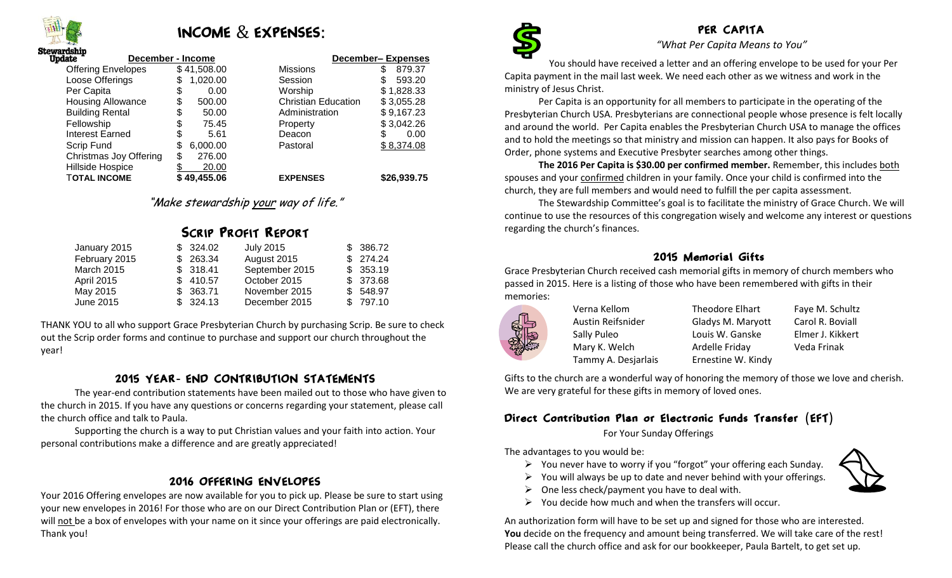

## INCOME & EXPENSES:

| rasnıp<br>date            | December - Income | <b>December-Expenses</b>   |             |  |
|---------------------------|-------------------|----------------------------|-------------|--|
| <b>Offering Envelopes</b> | \$41,508.00       | <b>Missions</b>            | 879.37<br>S |  |
| Loose Offerings           | 1,020.00<br>\$    | Session                    | 593.20      |  |
| Per Capita                | \$<br>0.00        | Worship                    | \$1,828.33  |  |
| <b>Housing Allowance</b>  | 500.00<br>\$      | <b>Christian Education</b> | \$3,055.28  |  |
| <b>Building Rental</b>    | \$<br>50.00       | Administration             | \$9,167.23  |  |
| Fellowship                | \$<br>75.45       | Property                   | \$3,042.26  |  |
| Interest Earned           | \$<br>5.61        | Deacon                     | \$<br>0.00  |  |
| Scrip Fund                | 6,000.00<br>\$    | Pastoral                   | \$8,374.08  |  |
| Christmas Joy Offering    | \$<br>276.00      |                            |             |  |
| Hillside Hospice          | 20.00             |                            |             |  |
| <b>TOTAL INCOME</b>       | \$49,455.06       | <b>EXPENSES</b>            | \$26,939.75 |  |

"Make stewardship your way of life."

|              |           | <b>SCRIP PROFIT REPORT</b> |           |
|--------------|-----------|----------------------------|-----------|
| January 2015 | \$ 324.02 | July 2015                  | \$ 386.72 |

| $0$ ulluuly $2010$ | $V = V - V - V$ | $0.41$ $0.40$  | <b>U</b> UUU.IL |
|--------------------|-----------------|----------------|-----------------|
| February 2015      | \$263.34        | August 2015    | \$274.24        |
| <b>March 2015</b>  | \$318.41        | September 2015 | \$353.19        |
| <b>April 2015</b>  | \$410.57        | October 2015   | \$373.68        |
| May 2015           | \$363.71        | November 2015  | \$548.97        |
| June 2015          | \$324.13        | December 2015  | \$797.10        |
|                    |                 |                |                 |

THANK YOU to all who support Grace Presbyterian Church by purchasing Scrip. Be sure to check out the Scrip order forms and continue to purchase and support our church throughout the year!

#### 2015 YEAR- END CONTRIBUTION STATEMENTS

The year-end contribution statements have been mailed out to those who have given to the church in 2015. If you have any questions or concerns regarding your statement, please call the church office and talk to Paula.

Supporting the church is a way to put Christian values and your faith into action. Your personal contributions make a difference and are greatly appreciated!

#### 2016 OFFERING ENVELOPES

Your 2016 Offering envelopes are now available for you to pick up. Please be sure to start using your new envelopes in 2016! For those who are on our Direct Contribution Plan or (EFT), there will not be a box of envelopes with your name on it since your offerings are paid electronically. Thank you!



### PER CAPITA

*"What Per Capita Means to You"*

You should have received a letter and an offering envelope to be used for your Per Capita payment in the mail last week. We need each other as we witness and work in the ministry of Jesus Christ.

Per Capita is an opportunity for all members to participate in the operating of the Presbyterian Church USA. Presbyterians are connectional people whose presence is felt locally and around the world. Per Capita enables the Presbyterian Church USA to manage the offices and to hold the meetings so that ministry and mission can happen. It also pays for Books of Order, phone systems and Executive Presbyter searches among other things.

**The 2016 Per Capita is \$30.00 per confirmed member.** Remember, this includes both spouses and your confirmed children in your family. Once your child is confirmed into the church, they are full members and would need to fulfill the per capita assessment.

The Stewardship Committee's goal is to facilitate the ministry of Grace Church. We will continue to use the resources of this congregation wisely and welcome any interest or questions regarding the church's finances.

#### 2015 Memorial Gifts

Grace Presbyterian Church received cash memorial gifts in memory of church members who passed in 2015. Here is a listing of those who have been remembered with gifts in their memories:



Verna Kellom Theodore Elhart Faye M. Schultz Austin Reifsnider Gladys M. Maryott Carol R. Boviall Sally Puleo **Louis W. Ganske** Elmer J. Kikkert Mary K. Welch **Ardelle Friday** Veda Frinak Tammy A. Desjarlais Ernestine W. Kindy

Gifts to the church are a wonderful way of honoring the memory of those we love and cherish. We are very grateful for these gifts in memory of loved ones.

#### Direct Contribution Plan or Electronic Funds Transfer (EFT)

For Your Sunday Offerings

The advantages to you would be:

- $\triangleright$  You never have to worry if you "forgot" your offering each Sunday.
- $\triangleright$  You will always be up to date and never behind with your offerings.
- $\triangleright$  One less check/payment you have to deal with.
- $\triangleright$  You decide how much and when the transfers will occur.

An authorization form will have to be set up and signed for those who are interested. **You** decide on the frequency and amount being transferred. We will take care of the rest! Please call the church office and ask for our bookkeeper, Paula Bartelt, to get set up.

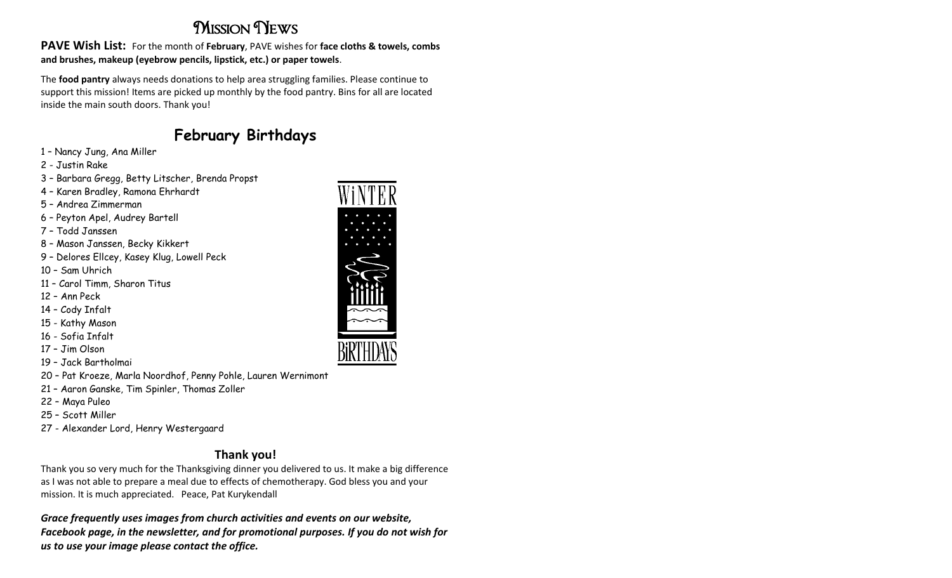## **MISSION NEWS**

**PAVE Wish List:** For the month of **February**, PAVE wishes for **face cloths & towels, combs and brushes, makeup (eyebrow pencils, lipstick, etc.) or paper towels**.

The **food pantry** always needs donations to help area struggling families. Please continue to support this mission! Items are picked up monthly by the food pantry. Bins for all are located inside the main south doors. Thank you!

## **February Birthdays**

- 1 Nancy Jung, Ana Miller
- 2 Justin Rake
- 3 Barbara Gregg, Betty Litscher, Brenda Propst
- 4 Karen Bradley, Ramona Ehrhardt
- 5 Andrea Zimmerman
- 6 Peyton Apel, Audrey Bartell
- 7 Todd Janssen
- 8 Mason Janssen, Becky Kikkert
- 9 Delores Ellcey, Kasey Klug, Lowell Peck
- 10 Sam Uhrich
- 11 Carol Timm, Sharon Titus
- 12 Ann Peck
- 14 Cody Infalt
- 15 Kathy Mason
- 16 Sofia Infalt
- 17 Jim Olson
- 19 Jack Bartholmai
- 20 Pat Kroeze, Marla Noordhof, Penny Pohle, Lauren Wernimont
- 21 Aaron Ganske, Tim Spinler, Thomas Zoller
- 22 Maya Puleo
- 25 Scott Miller
- 27 Alexander Lord, Henry Westergaard

### **Thank you!**

Thank you so very much for the Thanksgiving dinner you delivered to us. It make a big difference as I was not able to prepare a meal due to effects of chemotherapy. God bless you and your mission. It is much appreciated. Peace, Pat Kurykendall

*Grace frequently uses images from church activities and events on our website, Facebook page, in the newsletter, and for promotional purposes. If you do not wish for us to use your image please contact the office.*